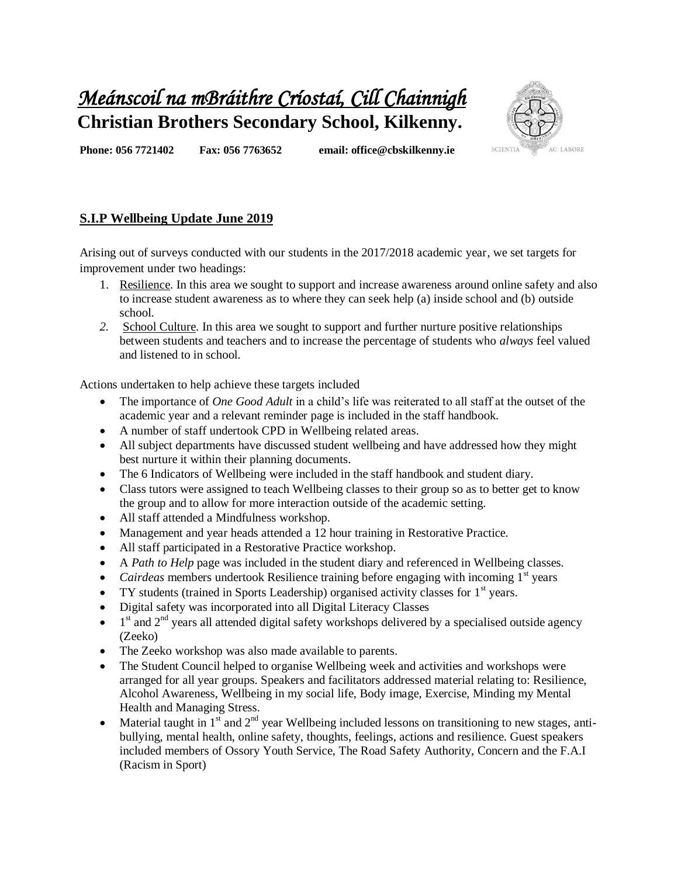## *Meánscoil na mBráithre Críostaí, Cill Chainnigh*  **Christian Brothers Secondary School, Kilkenny.**



**Phone: 056 7721402 Fax: 056 7763652 email: office@cbskilkenny.ie** 

## **S.I.P Wellbeing Update June 2019**

Arising out of surveys conducted with our students in the 2017/2018 academic year, we set targets for improvement under two headings:

- 1. Resilience. In this area we sought to support and increase awareness around online safety and also to increase student awareness as to where they can seek help (a) inside school and (b) outside school.
- *2.* School Culture. In this area we sought to support and further nurture positive relationships between students and teachers and to increase the percentage of students who *always* feel valued and listened to in school.

Actions undertaken to help achieve these targets included

- The importance of *One Good Adult* in a child's life was reiterated to all staff at the outset of the academic year and a relevant reminder page is included in the staff handbook.
- A number of staff undertook CPD in Wellbeing related areas.
- All subject departments have discussed student wellbeing and have addressed how they might best nurture it within their planning documents.
- The 6 Indicators of Wellbeing were included in the staff handbook and student diary.
- Class tutors were assigned to teach Wellbeing classes to their group so as to better get to know the group and to allow for more interaction outside of the academic setting.
- All staff attended a Mindfulness workshop.
- Management and year heads attended a 12 hour training in Restorative Practice.
- All staff participated in a Restorative Practice workshop.
- A *Path to Help* page was included in the student diary and referenced in Wellbeing classes.
- *Cairdeas* members undertook Resilience training before engaging with incoming 1<sup>st</sup> years
- TY students (trained in Sports Leadership) organised activity classes for  $1<sup>st</sup>$  years.
- Digital safety was incorporated into all Digital Literacy Classes
- $\bullet$  1<sup>st</sup> and 2<sup>nd</sup> years all attended digital safety workshops delivered by a specialised outside agency (Zeeko)
- The Zeeko workshop was also made available to parents.
- The Student Council helped to organise Wellbeing week and activities and workshops were arranged for all year groups. Speakers and facilitators addressed material relating to: Resilience, Alcohol Awareness, Wellbeing in my social life, Body image, Exercise, Minding my Mental Health and Managing Stress.
- Material taught in  $1<sup>st</sup>$  and  $2<sup>nd</sup>$  year Wellbeing included lessons on transitioning to new stages, antibullying, mental health, online safety, thoughts, feelings, actions and resilience. Guest speakers included members of Ossory Youth Service, The Road Safety Authority, Concern and the F.A.I (Racism in Sport)